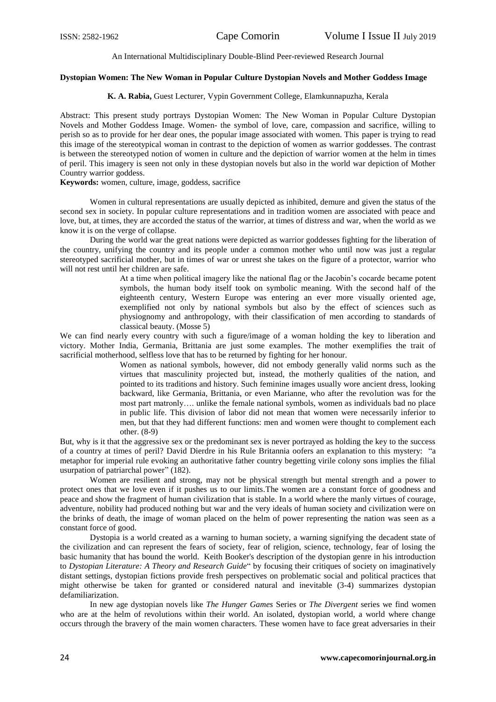#### An International Multidisciplinary Double-Blind Peer-reviewed Research Journal

# **Dystopian Women: The New Woman in Popular Culture Dystopian Novels and Mother Goddess Image**

## **K. A. Rabia,** Guest Lecturer, Vypin Government College, Elamkunnapuzha, Kerala

Abstract: This present study portrays Dystopian Women: The New Woman in Popular Culture Dystopian Novels and Mother Goddess Image. Women- the symbol of love, care, compassion and sacrifice, willing to perish so as to provide for her dear ones, the popular image associated with women. This paper is trying to read this image of the stereotypical woman in contrast to the depiction of women as warrior goddesses. The contrast is between the stereotyped notion of women in culture and the depiction of warrior women at the helm in times of peril. This imagery is seen not only in these dystopian novels but also in the world war depiction of Mother Country warrior goddess.

**Keywords:** women, culture, image, goddess, sacrifice

Women in cultural representations are usually depicted as inhibited, demure and given the status of the second sex in society. In popular culture representations and in tradition women are associated with peace and love, but, at times, they are accorded the status of the warrior, at times of distress and war, when the world as we know it is on the verge of collapse.

During the world war the great nations were depicted as warrior goddesses fighting for the liberation of the country, unifying the country and its people under a common mother who until now was just a regular stereotyped sacrificial mother, but in times of war or unrest she takes on the figure of a protector, warrior who will not rest until her children are safe.

> At a time when political imagery like the national flag or the Jacobin's cocarde became potent symbols, the human body itself took on symbolic meaning. With the second half of the eighteenth century, Western Europe was entering an ever more visually oriented age, exemplified not only by national symbols but also by the effect of sciences such as physiognomy and anthropology, with their classification of men according to standards of classical beauty. (Mosse 5)

We can find nearly every country with such a figure/image of a woman holding the key to liberation and victory. Mother India, Germania, Brittania are just some examples. The mother exemplifies the trait of sacrificial motherhood, selfless love that has to be returned by fighting for her honour.

Women as national symbols, however, did not embody generally valid norms such as the virtues that masculinity projected but, instead, the motherly qualities of the nation, and pointed to its traditions and history. Such feminine images usually wore ancient dress, looking backward, like Germania, Brittania, or even Marianne, who after the revolution was for the most part matronly…. unlike the female national symbols, women as individuals bad no place in public life. This division of labor did not mean that women were necessarily inferior to men, but that they had different functions: men and women were thought to complement each other. (8-9)

But, why is it that the aggressive sex or the predominant sex is never portrayed as holding the key to the success of a country at times of peril? David Dierdre in his Rule Britannia oofers an explanation to this mystery: "a metaphor for imperial rule evoking an authoritative father country begetting virile colony sons implies the filial usurpation of patriarchal power" (182).

Women are resilient and strong, may not be physical strength but mental strength and a power to protect ones that we love even if it pushes us to our limits.The women are a constant force of goodness and peace and show the fragment of human civilization that is stable. In a world where the manly virtues of courage, adventure, nobility had produced nothing but war and the very ideals of human society and civilization were on the brinks of death, the image of woman placed on the helm of power representing the nation was seen as a constant force of good.

Dystopia is a world created as a warning to human society, a warning signifying the decadent state of the civilization and can represent the fears of society, fear of religion, science, technology, fear of losing the basic humanity that has bound the world. Keith Booker's description of the dystopian genre in his introduction to *Dystopian Literature: A Theory and Research Guide*" by focusing their critiques of society on imaginatively distant settings, dystopian fictions provide fresh perspectives on problematic social and political practices that might otherwise be taken for granted or considered natural and inevitable (3-4) summarizes dystopian defamiliarization.

In new age dystopian novels like *The Hunger Games* Series or *The Divergent* series we find women who are at the helm of revolutions within their world. An isolated, dystopian world, a world where change occurs through the bravery of the main women characters. These women have to face great adversaries in their